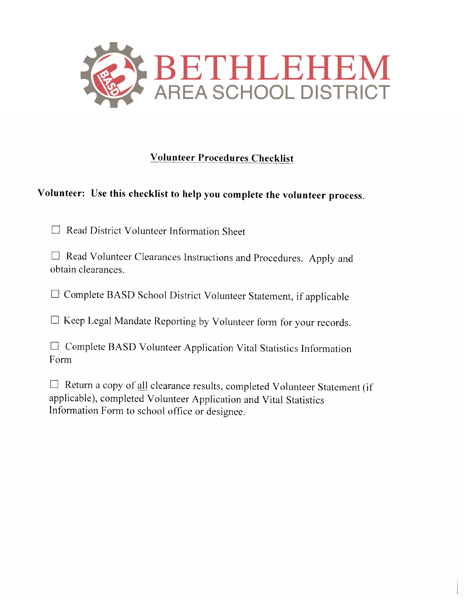

## **Volunteer Procedures Checklist**

# Volunteer: Use this checklist to help you complete the volunteer process.

 $\Box$  Read District Volunteer Information Sheet

□ Read Volunteer Clearances Instructions and Procedures. Apply and obtain clearances.

□ Complete BASD School District Volunteer Statement, if applicable

□ Keep Legal Mandate Reporting by Volunteer form for your records.

|      | $\Box$ Complete BASD Volunteer Application Vital Statistics Information |  |  |  |
|------|-------------------------------------------------------------------------|--|--|--|
| Form |                                                                         |  |  |  |

□ Return a copy of all clearance results, completed Volunteer Statement (if applicable), completed Volunteer Application and Vital Statistics Information Form to school office or designee.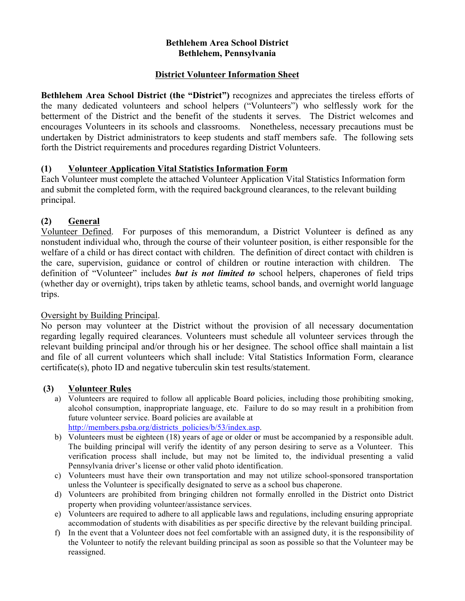## **Bethlehem Area School District Bethlehem, Pennsylvania**

## **District Volunteer Information Sheet**

**Bethlehem Area School District (the "District")** recognizes and appreciates the tireless efforts of the many dedicated volunteers and school helpers ("Volunteers") who selflessly work for the betterment of the District and the benefit of the students it serves. The District welcomes and encourages Volunteers in its schools and classrooms. Nonetheless, necessary precautions must be undertaken by District administrators to keep students and staff members safe. The following sets forth the District requirements and procedures regarding District Volunteers.

## **(1) Volunteer Application Vital Statistics Information Form**

Each Volunteer must complete the attached Volunteer Application Vital Statistics Information form and submit the completed form, with the required background clearances, to the relevant building principal.

## **(2) General**

Volunteer Defined. For purposes of this memorandum, a District Volunteer is defined as any nonstudent individual who, through the course of their volunteer position, is either responsible for the welfare of a child or has direct contact with children. The definition of direct contact with children is the care, supervision, guidance or control of children or routine interaction with children. The definition of "Volunteer" includes *but is not limited to* school helpers, chaperones of field trips (whether day or overnight), trips taken by athletic teams, school bands, and overnight world language trips.

## Oversight by Building Principal.

No person may volunteer at the District without the provision of all necessary documentation regarding legally required clearances. Volunteers must schedule all volunteer services through the relevant building principal and/or through his or her designee. The school office shall maintain a list and file of all current volunteers which shall include: Vital Statistics Information Form, clearance certificate(s), photo ID and negative tuberculin skin test results/statement.

## **(3) Volunteer Rules**

a) Volunteers are required to follow all applicable Board policies, including those prohibiting smoking, alcohol consumption, inappropriate language, etc. Failure to do so may result in a prohibition from future volunteer service. Board policies are available at

http://members.psba.org/districts\_policies/b/53/index.asp. b) Volunteers must be eighteen (18) years of age or older or must be accompanied by a responsible adult. The building principal will verify the identity of any person desiring to serve as a Volunteer. This verification process shall include, but may not be limited to, the individual presenting a valid

- Pennsylvania driver's license or other valid photo identification. c) Volunteers must have their own transportation and may not utilize school-sponsored transportation unless the Volunteer is specifically designated to serve as a school bus chaperone.
- d) Volunteers are prohibited from bringing children not formally enrolled in the District onto District property when providing volunteer/assistance services.
- e) Volunteers are required to adhere to all applicable laws and regulations, including ensuring appropriate accommodation of students with disabilities as per specific directive by the relevant building principal.
- f) In the event that a Volunteer does not feel comfortable with an assigned duty, it is the responsibility of the Volunteer to notify the relevant building principal as soon as possible so that the Volunteer may be reassigned.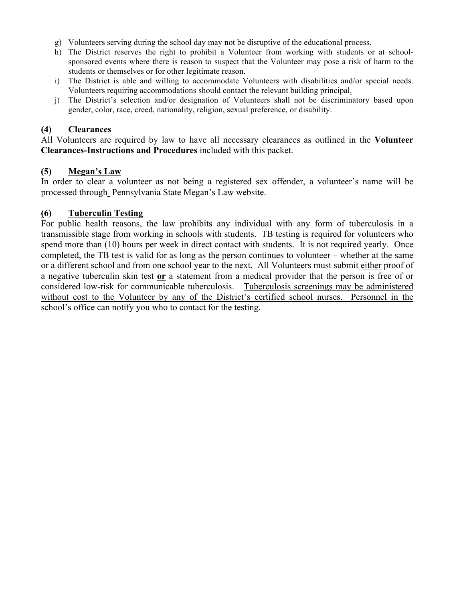- g) Volunteers serving during the school day may not be disruptive of the educational process.
- h) The District reserves the right to prohibit a Volunteer from working with students or at schoolsponsored events where there is reason to suspect that the Volunteer may pose a risk of harm to the students or themselves or for other legitimate reason.
- i) The District is able and willing to accommodate Volunteers with disabilities and/or special needs. Volunteers requiring accommodations should contact the relevant building principal.
- j) The District's selection and/or designation of Volunteers shall not be discriminatory based upon gender, color, race, creed, nationality, religion, sexual preference, or disability.

## **(4) Clearances**

All Volunteers are required by law to have all necessary clearances as outlined in the **Volunteer Clearances-Instructions and Procedures** included with this packet.

#### **(5) Megan's Law**

In order to clear a volunteer as not being a registered sex offender, a volunteer's name will be processed through Pennsylvania State Megan's Law website.

## **(6) Tuberculin Testing**

For public health reasons, the law prohibits any individual with any form of tuberculosis in a transmissible stage from working in schools with students. TB testing is required for volunteers who spend more than (10) hours per week in direct contact with students. It is not required yearly. Once completed, the TB test is valid for as long as the person continues to volunteer – whether at the same or a different school and from one school year to the next. All Volunteers must submit either proof of a negative tuberculin skin test **or** a statement from a medical provider that the person is free of or considered low-risk for communicable tuberculosis. Tuberculosis screenings may be administered without cost to the Volunteer by any of the District's certified school nurses. Personnel in the school's office can notify you who to contact for the testing.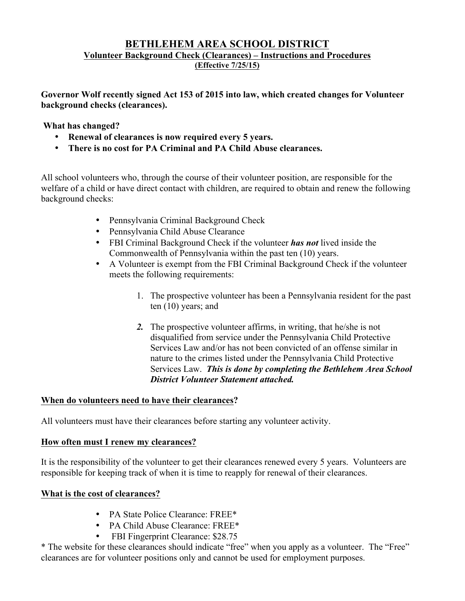## **BETHLEHEM AREA SCHOOL DISTRICT Volunteer Background Check (Clearances) – Instructions and Procedures (Effective 7/25/15)**

**Governor Wolf recently signed Act 153 of 2015 into law, which created changes for Volunteer background checks (clearances).** 

## **What has changed?**

- **Renewal of clearances is now required every 5 years.**
- **There is no cost for PA Criminal and PA Child Abuse clearances.**

All school volunteers who, through the course of their volunteer position, are responsible for the welfare of a child or have direct contact with children, are required to obtain and renew the following background checks:

- Pennsylvania Criminal Background Check
- Pennsylvania Child Abuse Clearance
- FBI Criminal Background Check if the volunteer *has not* lived inside the Commonwealth of Pennsylvania within the past ten (10) years.
- A Volunteer is exempt from the FBI Criminal Background Check if the volunteer meets the following requirements:
	- 1. The prospective volunteer has been a Pennsylvania resident for the past ten (10) years; and
	- *2.* The prospective volunteer affirms, in writing, that he/she is not disqualified from service under the Pennsylvania Child Protective Services Law and/or has not been convicted of an offense similar in nature to the crimes listed under the Pennsylvania Child Protective Services Law. *This is done by completing the Bethlehem Area School District Volunteer Statement attached.*

## **When do volunteers need to have their clearances?**

All volunteers must have their clearances before starting any volunteer activity.

## **How often must I renew my clearances?**

It is the responsibility of the volunteer to get their clearances renewed every 5 years. Volunteers are responsible for keeping track of when it is time to reapply for renewal of their clearances.

## **What is the cost of clearances?**

- PA State Police Clearance: FREE\*
- PA Child Abuse Clearance: FREE\*
- FBI Fingerprint Clearance: \$28.75

\* The website for these clearances should indicate "free" when you apply as a volunteer. The "Free" clearances are for volunteer positions only and cannot be used for employment purposes.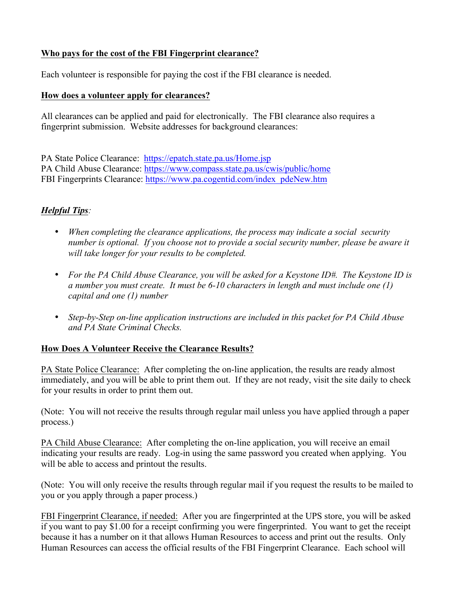## **Who pays for the cost of the FBI Fingerprint clearance?**

Each volunteer is responsible for paying the cost if the FBI clearance is needed.

## **How does a volunteer apply for clearances?**

All clearances can be applied and paid for electronically. The FBI clearance also requires a fingerprint submission. Website addresses for background clearances:

PA State Police Clearance: https://epatch.state.pa.us/Home.jsp PA Child Abuse Clearance: https://www.compass.state.pa.us/cwis/public/home FBI Fingerprints Clearance: https://www.pa.cogentid.com/index\_pdeNew.htm

## *Helpful Tips:*

- *When completing the clearance applications, the process may indicate a social security number is optional. If you choose not to provide a social security number, please be aware it will take longer for your results to be completed.*
- *For the PA Child Abuse Clearance, you will be asked for a Keystone ID#. The Keystone ID is a number you must create. It must be 6-10 characters in length and must include one (1) capital and one (1) number*
- *Step-by-Step on-line application instructions are included in this packet for PA Child Abuse and PA State Criminal Checks.*

## **How Does A Volunteer Receive the Clearance Results?**

PA State Police Clearance: After completing the on-line application, the results are ready almost immediately, and you will be able to print them out. If they are not ready, visit the site daily to check for your results in order to print them out.

(Note: You will not receive the results through regular mail unless you have applied through a paper process.)

PA Child Abuse Clearance: After completing the on-line application, you will receive an email indicating your results are ready. Log-in using the same password you created when applying. You will be able to access and printout the results.

(Note: You will only receive the results through regular mail if you request the results to be mailed to you or you apply through a paper process.)

FBI Fingerprint Clearance, if needed: After you are fingerprinted at the UPS store, you will be asked if you want to pay \$1.00 for a receipt confirming you were fingerprinted. You want to get the receipt because it has a number on it that allows Human Resources to access and print out the results. Only Human Resources can access the official results of the FBI Fingerprint Clearance. Each school will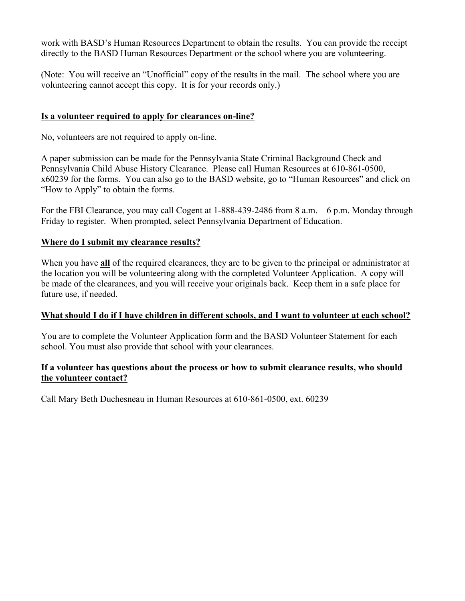work with BASD's Human Resources Department to obtain the results. You can provide the receipt directly to the BASD Human Resources Department or the school where you are volunteering.

(Note: You will receive an "Unofficial" copy of the results in the mail. The school where you are volunteering cannot accept this copy. It is for your records only.)

## **Is a volunteer required to apply for clearances on-line?**

No, volunteers are not required to apply on-line.

A paper submission can be made for the Pennsylvania State Criminal Background Check and Pennsylvania Child Abuse History Clearance. Please call Human Resources at 610-861-0500, x60239 for the forms. You can also go to the BASD website, go to "Human Resources" and click on "How to Apply" to obtain the forms.

For the FBI Clearance, you may call Cogent at 1-888-439-2486 from 8 a.m. – 6 p.m. Monday through Friday to register. When prompted, select Pennsylvania Department of Education.

## **Where do I submit my clearance results?**

When you have **all** of the required clearances, they are to be given to the principal or administrator at the location you will be volunteering along with the completed Volunteer Application. A copy will be made of the clearances, and you will receive your originals back. Keep them in a safe place for future use, if needed.

## **What should I do if I have children in different schools, and I want to volunteer at each school?**

You are to complete the Volunteer Application form and the BASD Volunteer Statement for each school. You must also provide that school with your clearances.

## **If a volunteer has questions about the process or how to submit clearance results, who should the volunteer contact?**

Call Mary Beth Duchesneau in Human Resources at 610-861-0500, ext. 60239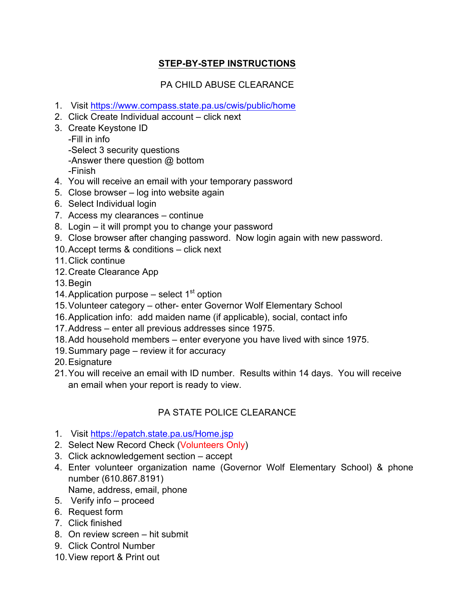## **STEP-BY-STEP INSTRUCTIONS**

## PA CHILD ABUSE CLEARANCE

- 1. Visit https://www.compass.state.pa.us/cwis/public/home
- 2. Click Create Individual account click next
- 3. Create Keystone ID

-Fill in info -Select 3 security questions -Answer there question @ bottom -Finish

- 4. You will receive an email with your temporary password
- 5. Close browser log into website again
- 6. Select Individual login
- 7. Access my clearances continue
- 8. Login it will prompt you to change your password
- 9. Close browser after changing password. Now login again with new password.
- 10.Accept terms & conditions click next
- 11. Click continue
- 12.Create Clearance App
- 13.Begin
- 14. Application purpose  $-$  select 1<sup>st</sup> option
- 15.Volunteer category other- enter Governor Wolf Elementary School
- 16.Application info: add maiden name (if applicable), social, contact info
- 17.Address enter all previous addresses since 1975.
- 18.Add household members enter everyone you have lived with since 1975.
- 19.Summary page review it for accuracy
- 20.Esignature
- 21.You will receive an email with ID number. Results within 14 days. You will receive an email when your report is ready to view.

## PA STATE POLICE CLEARANCE

- 1. Visit https://epatch.state.pa.us/Home.jsp
- 2. Select New Record Check (Volunteers Only)
- 3. Click acknowledgement section accept
- 4. Enter volunteer organization name (Governor Wolf Elementary School) & phone number (610.867.8191)
	- Name, address, email, phone
- 5. Verify info proceed
- 6. Request form
- 7. Click finished
- 8. On review screen hit submit
- 9. Click Control Number
- 10.View report & Print out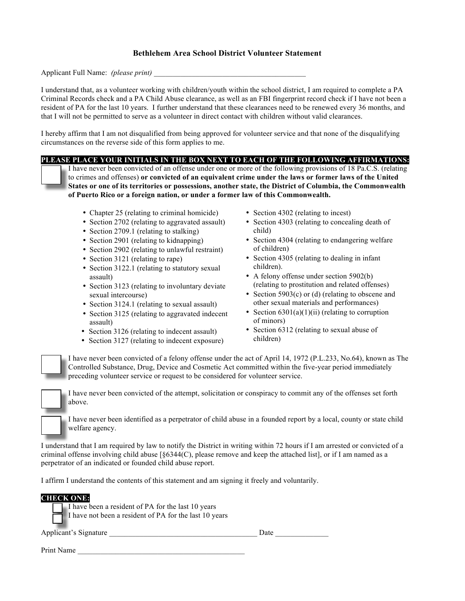#### **Bethlehem Area School District Volunteer Statement**

Applicant Full Name: *(please print)* 

I understand that, as a volunteer working with children/youth within the school district, I am required to complete a PA Criminal Records check and a PA Child Abuse clearance, as well as an FBI fingerprint record check if I have not been a resident of PA for the last 10 years. I further understand that these clearances need to be renewed every 36 months, and that I will not be permitted to serve as a volunteer in direct contact with children without valid clearances.

I hereby affirm that I am not disqualified from being approved for volunteer service and that none of the disqualifying circumstances on the reverse side of this form applies to me.

**PLEASE PLACE YOUR INITIALS IN THE BOX NEXT TO EACH OF THE FOLLOWING AFFIRMATIONS:**

I have never been convicted of an offense under one or more of the following provisions of 18 Pa.C.S. (relating to crimes and offenses) **or convicted of an equivalent crime under the laws or former laws of the United States or one of its territories or possessions, another state, the District of Columbia, the Commonwealth of Puerto Rico or a foreign nation, or under a former law of this Commonwealth.** 

- Chapter 25 (relating to criminal homicide)
- Section 2702 (relating to aggravated assault)
- Section 2709.1 (relating to stalking)
- Section 2901 (relating to kidnapping)
- Section 2902 (relating to unlawful restraint)
- Section 3121 (relating to rape)
- Section 3122.1 (relating to statutory sexual assault)
- Section 3123 (relating to involuntary deviate sexual intercourse)
- Section 3124.1 (relating to sexual assault)
- Section 3125 (relating to aggravated indecent assault)
- Section 3126 (relating to indecent assault)
- Section 3127 (relating to indecent exposure)
- Section 4302 (relating to incest)
- Section 4303 (relating to concealing death of child)
- Section 4304 (relating to endangering welfare of children)
- Section 4305 (relating to dealing in infant children).
- A felony offense under section 5902(b) (relating to prostitution and related offenses)
- Section 5903(c) or (d) (relating to obscene and other sexual materials and performances)
- Section  $6301(a)(1)(ii)$  (relating to corruption of minors)
- Section 6312 (relating to sexual abuse of children)

I have never been convicted of a felony offense under the act of April 14, 1972 (P.L.233, No.64), known as The Controlled Substance, Drug, Device and Cosmetic Act committed within the five-year period immediately preceding volunteer service or request to be considered for volunteer service.



Print Name

I have never been convicted of the attempt, solicitation or conspiracy to commit any of the offenses set forth above.

I have never been identified as a perpetrator of child abuse in a founded report by a local, county or state child welfare agency.

I understand that I am required by law to notify the District in writing within 72 hours if I am arrested or convicted of a criminal offense involving child abuse  $\lceil \frac{6344(C)}{C} \rceil$ , please remove and keep the attached list], or if I am named as a perpetrator of an indicated or founded child abuse report.

I affirm I understand the contents of this statement and am signing it freely and voluntarily.

| <b>CHECK ONE:</b>                                      |      |  |
|--------------------------------------------------------|------|--|
| I have been a resident of PA for the last 10 years     |      |  |
| I have not been a resident of PA for the last 10 years |      |  |
| Applicant's Signature                                  | Date |  |
|                                                        |      |  |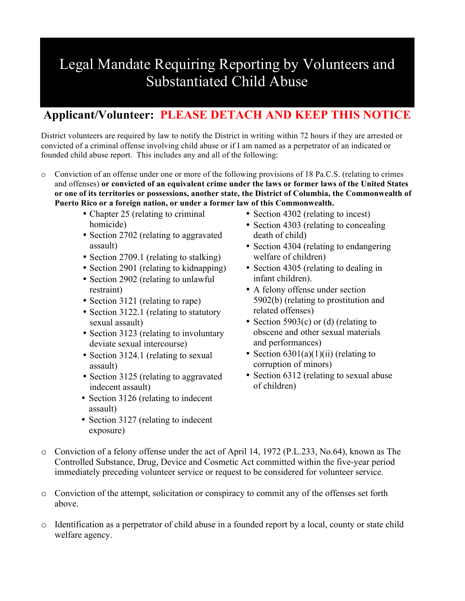# Legal Mandate Requiring Reporting by Volunteers and Substantiated Child Abuse

## **Applicant/Volunteer: PLEASE DETACH AND KEEP THIS NOTICE**

District volunteers are required by law to notify the District in writing within 72 hours if they are arrested or convicted of a criminal offense involving child abuse or if I am named as a perpetrator of an indicated or founded child abuse report. This includes any and all of the following:

- o Conviction of an offense under one or more of the following provisions of 18 Pa.C.S. (relating to crimes and offenses) **or convicted of an equivalent crime under the laws or former laws of the United States or one of its territories or possessions, another state, the District of Columbia, the Commonwealth of Puerto Rico or a foreign nation, or under a former law of this Commonwealth.**
	- Chapter 25 (relating to criminal homicide)
	- Section 2702 (relating to aggravated assault)
	- Section 2709.1 (relating to stalking)
	- Section 2901 (relating to kidnapping)
	- Section 2902 (relating to unlawful restraint)
	- Section 3121 (relating to rape)
	- Section 3122.1 (relating to statutory sexual assault)
	- Section 3123 (relating to involuntary deviate sexual intercourse)
	- Section 3124.1 (relating to sexual assault)
	- Section 3125 (relating to aggravated indecent assault)
	- Section 3126 (relating to indecent assault)
	- Section 3127 (relating to indecent exposure)
- Section 4302 (relating to incest)
- Section 4303 (relating to concealing death of child)
- Section 4304 (relating to endangering welfare of children)
- Section 4305 (relating to dealing in infant children).
- A felony offense under section 5902(b) (relating to prostitution and related offenses)
- Section 5903(c) or (d) (relating to obscene and other sexual materials and performances)
- Section  $6301(a)(1)(ii)$  (relating to corruption of minors)
- Section 6312 (relating to sexual abuse of children)
- o Conviction of a felony offense under the act of April 14, 1972 (P.L.233, No.64), known as The Controlled Substance, Drug, Device and Cosmetic Act committed within the five-year period immediately preceding volunteer service or request to be considered for volunteer service.
- o Conviction of the attempt, solicitation or conspiracy to commit any of the offenses set forth above.
- o Identification as a perpetrator of child abuse in a founded report by a local, county or state child welfare agency.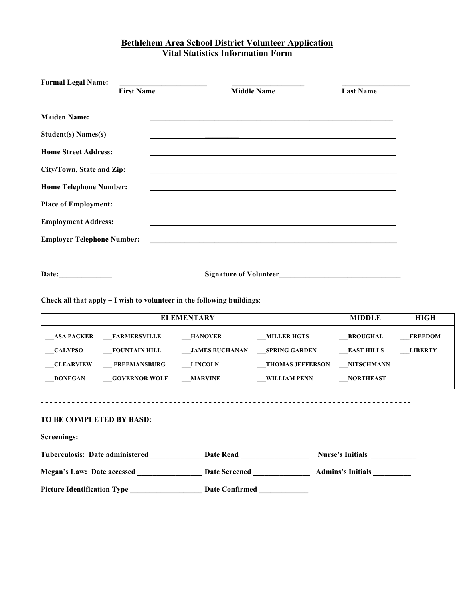## **Bethlehem Area School District Volunteer Application Vital Statistics Information Form**

| <b>Middle Name</b>                                                                                                   | <b>Last Name</b> |                                                                                                                                                                                                                                                                                                                                                                        |
|----------------------------------------------------------------------------------------------------------------------|------------------|------------------------------------------------------------------------------------------------------------------------------------------------------------------------------------------------------------------------------------------------------------------------------------------------------------------------------------------------------------------------|
|                                                                                                                      |                  |                                                                                                                                                                                                                                                                                                                                                                        |
|                                                                                                                      |                  |                                                                                                                                                                                                                                                                                                                                                                        |
|                                                                                                                      |                  |                                                                                                                                                                                                                                                                                                                                                                        |
|                                                                                                                      |                  |                                                                                                                                                                                                                                                                                                                                                                        |
|                                                                                                                      |                  |                                                                                                                                                                                                                                                                                                                                                                        |
|                                                                                                                      |                  |                                                                                                                                                                                                                                                                                                                                                                        |
|                                                                                                                      |                  |                                                                                                                                                                                                                                                                                                                                                                        |
|                                                                                                                      |                  |                                                                                                                                                                                                                                                                                                                                                                        |
|                                                                                                                      |                  |                                                                                                                                                                                                                                                                                                                                                                        |
| <b>First Name</b><br>City/Town, State and Zip:<br><b>Home Telephone Number:</b><br><b>Employer Telephone Number:</b> |                  | <u> 1999 - Jan James James James James James James James James James James James James James James James James J</u><br><u> 1989 - Johann Stoff, deutscher Stoffen und der Stoffen und der Stoffen und der Stoffen und der Stoffen und der</u><br><u> Alexandria de la contrada de la contrada de la contrada de la contrada de la contrada de la contrada de la c</u> |

**Check all that apply – I wish to volunteer in the following buildings**:

| <b>ELEMENTARY</b> |                      |                       |                         | <b>MIDDLE</b>     | <b>HIGH</b>    |
|-------------------|----------------------|-----------------------|-------------------------|-------------------|----------------|
| <b>ASA PACKER</b> | <b>FARMERSVILLE</b>  | <b>HANOVER</b>        | <b>MILLER HGTS</b>      | <b>BROUGHAL</b>   | <b>FREEDOM</b> |
| <b>CALYPSO</b>    | <b>FOUNTAIN HILL</b> | <b>JAMES BUCHANAN</b> | <b>SPRING GARDEN</b>    | <b>EAST HILLS</b> | <b>LIBERTY</b> |
| <b>CLEARVIEW</b>  | <b>FREEMANSBURG</b>  | <b>LINCOLN</b>        | <b>THOMAS JEFFERSON</b> | <b>NITSCHMANN</b> |                |
| <b>DONEGAN</b>    | <b>GOVERNOR WOLF</b> | <b>MARVINE</b>        | WILLIAM PENN            | <b>NORTHEAST</b>  |                |

#### **TO BE COMPLETED BY BASD:**

| Screenings:                        |                      |                          |
|------------------------------------|----------------------|--------------------------|
| Tuberculosis: Date administered    | <b>Date Read</b>     | <b>Nurse's Initials</b>  |
| <b>Megan's Law: Date accessed</b>  | <b>Date Screened</b> | <b>Admins's Initials</b> |
| <b>Picture Identification Type</b> | Date Confirmed       |                          |

**- - - - - - - - - - - - - - - - - - - - - - - - - - - - - - - - - - - - - - - - - - - - - - - - - - - - - - - - - - - - - - - - - - - - - - - - - - - - - - - - - - - -**